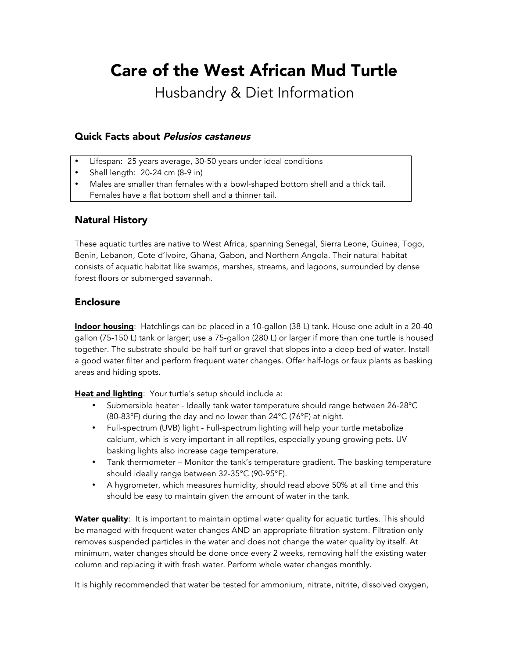# Care of the West African Mud Turtle

Husbandry & Diet Information

## Quick Facts about Pelusios castaneus

- Lifespan: 25 years average, 30-50 years under ideal conditions
- Shell length: 20-24 cm (8-9 in)
- Males are smaller than females with a bowl-shaped bottom shell and a thick tail. Females have a flat bottom shell and a thinner tail.

#### Natural History

These aquatic turtles are native to West Africa, spanning Senegal, Sierra Leone, Guinea, Togo, Benin, Lebanon, Cote d'Ivoire, Ghana, Gabon, and Northern Angola. Their natural habitat consists of aquatic habitat like swamps, marshes, streams, and lagoons, surrounded by dense forest floors or submerged savannah.

#### Enclosure

Indoor housing: Hatchlings can be placed in a 10-gallon (38 L) tank. House one adult in a 20-40 gallon (75-150 L) tank or larger; use a 75-gallon (280 L) or larger if more than one turtle is housed together. The substrate should be half turf or gravel that slopes into a deep bed of water. Install a good water filter and perform frequent water changes. Offer half-logs or faux plants as basking areas and hiding spots.

Heat and lighting: Your turtle's setup should include a:

- Submersible heater Ideally tank water temperature should range between 26-28°C (80-83°F) during the day and no lower than 24°C (76°F) at night.
- Full-spectrum (UVB) light Full-spectrum lighting will help your turtle metabolize calcium, which is very important in all reptiles, especially young growing pets. UV basking lights also increase cage temperature.
- Tank thermometer Monitor the tank's temperature gradient. The basking temperature should ideally range between 32-35°C (90-95°F).
- A hygrometer, which measures humidity, should read above 50% at all time and this should be easy to maintain given the amount of water in the tank.

Water quality: It is important to maintain optimal water quality for aquatic turtles. This should be managed with frequent water changes AND an appropriate filtration system. Filtration only removes suspended particles in the water and does not change the water quality by itself. At minimum, water changes should be done once every 2 weeks, removing half the existing water column and replacing it with fresh water. Perform whole water changes monthly.

It is highly recommended that water be tested for ammonium, nitrate, nitrite, dissolved oxygen,